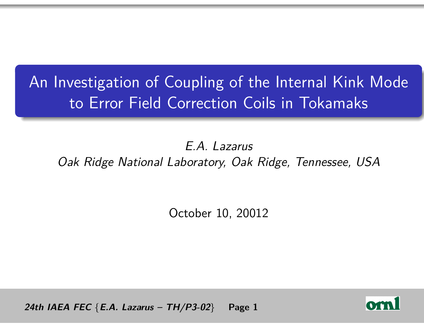# An Investigation of Coupling of the Internal Kink Mode to Error Field Correction Coils in Tokamaks

E.A. Lazarus Oak Ridge National Laboratory, Oak Ridge, Tennessee, USA

October 10, 20012

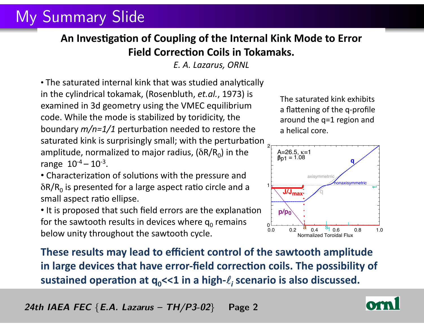### My Summary Slide

#### An Investigation of Coupling of the Internal Kink Mode to Error **Field Correction Coils in Tokamaks.**

*E.+A.+Lazarus,+ORNL*

 $\cdot$  The saturated internal kink that was studied analytically in the cylindrical tokamak, (Rosenbluth, *et.al.*, 1973) is examined in 3d geometry using the VMEC equilibrium code. While the mode is stabilized by toridicity, the *boundary m/n=1/1* perturbation needed to restore the saturated kink is surprisingly small; with the perturbation amplitude, normalized to major radius, ( $\delta R/R_0$ ) in the range  $10^{-4} - 10^{-3}$ .

• Characterization of solutions with the pressure and  $\delta R/R_0$  is presented for a large aspect ratio circle and a small aspect ratio ellipse.

• It is proposed that such field errors are the explanation for the sawtooth results in devices where  $q_0$  remains below unity throughout the sawtooth cycle.

The saturated kink exhibits a flattening of the q-profile around the q=1 region and a helical core.



**These results may lead to efficient control of the sawtooth amplitude** in large devices that have error-field correction coils. The possibility of sustained operation at q<sub>o</sub><<1 in a high- $\ell_i$  scenario is also discussed.

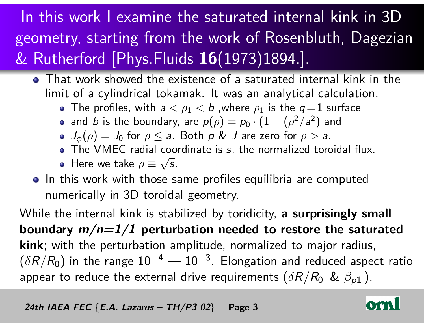# In this work I examine the saturated internal kink in 3D geometry, starting from the work of Rosenbluth, Dagezian & Rutherford [Phys.Fluids **16**(1973)1894.].

- That work showed the existence of a saturated internal kink in the limit of a cylindrical tokamak. It was an analytical calculation.
	- The profiles, with  $a < \rho_1 < b$  , where  $\rho_1$  is the  $q=1$  surface
	- and  $b$  is the boundary, are  $p(\rho)=p_0\cdot(1-(\rho^2/a^2)$  and
	- $J_{\phi}(\rho) = J_0$  for  $\rho \le a$ . Both  $\rho \& J$  are zero for  $\rho > a$ .
	- The VMEC radial coordinate is s, the normalized toroidal flux. √
	- Here we take  $\rho \equiv \sqrt{s}$ .
- o In this work with those same profiles equilibria are computed numerically in 3D toroidal geometry.

While the internal kink is stabilized by toridicity, **a surprisingly small boundary m/n=1/1 perturbation needed to restore the saturated kink**; with the perturbation amplitude, normalized to major radius,  $(\delta R/R_0)$  in the range  $10^{-4} - 10^{-3}$ . Elongation and reduced aspect ratio appear to reduce the external drive requirements  $(\delta R/R_0$  &  $\beta_{p1}$  ).

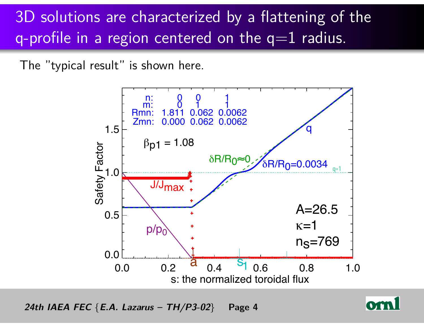# 3D solutions are characterized by a flattening of the q-profile in a region centered on the  $q=1$  radius.

The "typical result" is shown here.



(1sted 1980) 24th IAEA FEC {*E.A. Lazarus – TH/P3-02*} Page 4

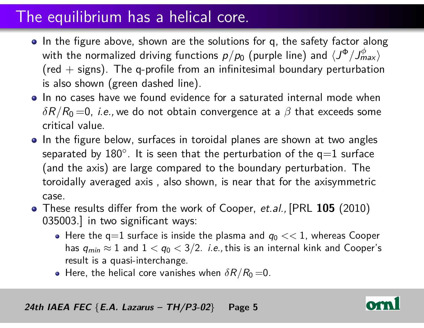### The equilibrium has a helical core.

- In the figure above, shown are the solutions for q, the safety factor along with the normalized driving functions  $p/p_0$  (purple line) and  $\langle J^\Phi / J^\phi_{max} \rangle$ (red  $+$  signs). The q-profile from an infinitesimal boundary perturbation is also shown (green dashed line).
- In no cases have we found evidence for a saturated internal mode when  $\delta R/R_0$  =0, *i.e.*, we do not obtain convergence at a  $\beta$  that exceeds some critical value.
- In the figure below, surfaces in toroidal planes are shown at two angles separated by  $180^\circ$ . It is seen that the perturbation of the  $\mathsf{q}{=}1$  surface (and the axis) are large compared to the boundary perturbation. The toroidally averaged axis , also shown, is near that for the axisymmetric case.
- These results differ from the work of Cooper, et.al., [PRL **105** (2010) 035003.] in two significant ways:
	- Here the  $q=1$  surface is inside the plasma and  $q_0 << 1$ , whereas Cooper has  $q_{min} \approx 1$  and  $1 < q_0 < 3/2$ . *i.e.*, this is an internal kink and Cooper's result is a quasi-interchange.
	- Here, the helical core vanishes when  $\delta R/R_0$  = 0.

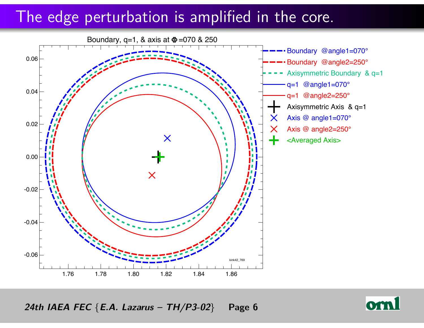#### The edge perturbation is amplified in the core.



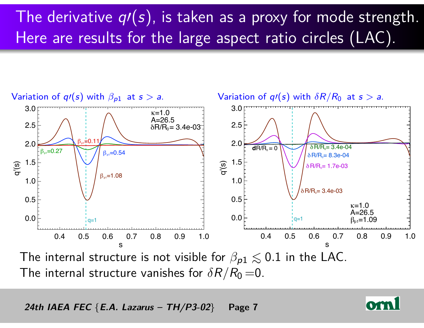# The derivative  $q(s)$ , is taken as a proxy for mode strength. Here are results for the large aspect ratio circles (LAC).



The internal structure vanishes for  $\delta R/R_0 = 0$ .

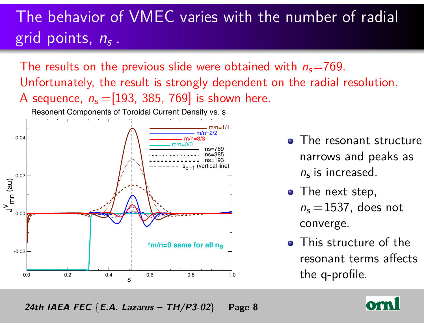# The behavior of VMEC varies with the number of radial grid points, n<sub>s</sub>.

The results on the previous slide were obtained with  $n_s$ =769. Unfortunately, the result is strongly dependent on the radial resolution. A sequence,  $n_s = [193, 385, 769]$  is shown here.

Resonent Components of Toroidal Current Density vs. s



- **•** The resonant structure narrows and peaks as  $n_s$  is increased.
- The next step,  $n_s = 1537$ , does not converge.
- **•** This structure of the resonant terms affects the q-profile.

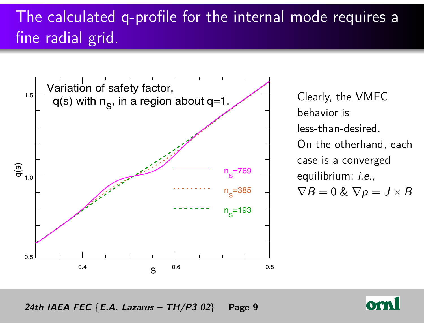# The calculated q-profile for the internal mode requires a fine radial grid.



Clearly, the VMEC behavior is less-than-desired. On the otherhand, each case is a converged equilibrium; *i.e.*,  $\nabla B = 0 \& \nabla p = J \times B$ 

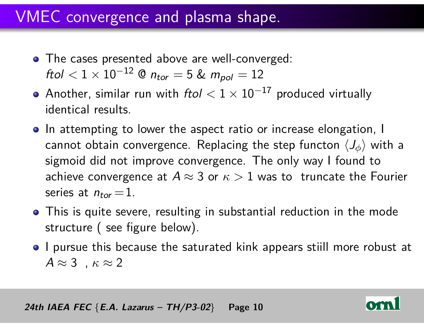### VMEC convergence and plasma shape.

- The cases presented above are well-converged: ftol  $< 1 \times 10^{-12}$  @  $n_{tor} = 5$  &  $m_{pol} = 12$
- Another, similar run with ftol *<* 1 × 10−<sup>17</sup> produced virtually identical results.
- In attempting to lower the aspect ratio or increase elongation, I cannot obtain convergence. Replacing the step functon  $\langle J_{\phi} \rangle$  with a sigmoid did not improve convergence. The only way I found to achieve convergence at  $A \approx 3$  or  $\kappa > 1$  was to truncate the Fourier series at  $n_{tor} = 1$ .
- **•** This is quite severe, resulting in substantial reduction in the mode structure ( see figure below).
- I pursue this because the saturated kink appears stiill more robust at  $A \approx 3$ ,  $\kappa \approx 2$

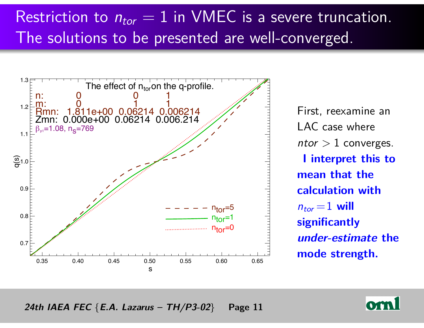# Restriction to  $n_{tor} = 1$  in VMEC is a severe truncation. The solutions to be presented are well-converged.



First, reexamine an LAC case where  $ntor > 1$  converges. **I interpret this to mean that the calculation with**  $n_{tor} = 1$  will **significantly under-estimate the mode strength.**

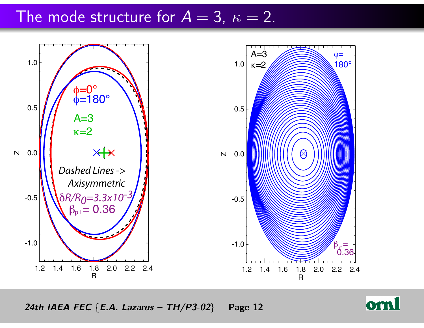### The mode structure for  $A = 3$ ,  $\kappa = 2$ .



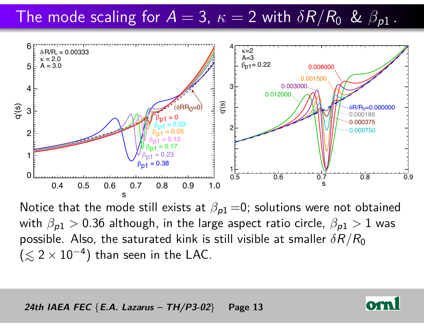# The mode scaling for  $A = 3$ ,  $\kappa = 2$  with  $\delta R/R_0$  &  $\beta_{p1}$ .



Notice that the mode still exists at  $\beta_{p1} = 0$ ; solutions were not obtained with  $\beta_{p1} > 0.36$  although, in the large aspect ratio circle,  $\beta_{p1} > 1$  was possible. Also, the saturated kink is still visible at smaller *δ*R*/*R<sup>0</sup>  $(\lesssim 2 \times 10^{-4})$  than seen in the LAC.

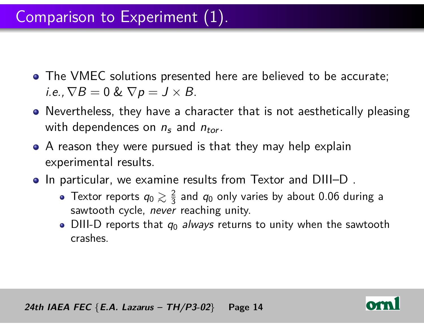- **The VMEC solutions presented here are believed to be accurate;** i.e.,  $\nabla B = 0$  &  $\nabla p = J \times B$ .
- Nevertheless, they have a character that is not aesthetically pleasing with dependences on  $n_s$  and  $n_{tor}$ .
- A reason they were pursued is that they may help explain experimental results.
- o In particular, we examine results from Textor and DIII–D.
	- Textor reports  $q_0\gtrsim \frac{2}{3}$  $\frac{2}{3}$  and  $q_0$  only varies by about 0.06 during a sawtooth cycle, never reaching unity.
	- DIII-D reports that  $q_0$  always returns to unity when the sawtooth crashes.



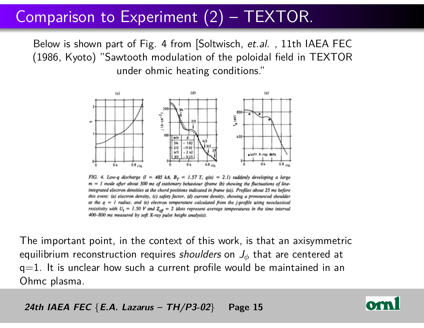### Comparison to Experiment (2) – TEXTOR.

Below is shown part of Fig. 4 from [Soltwisch, et.al., 11th IAEA FEC (1986, Kyoto) "Sawtooth modulation of the poloidal field in TEXTOR under ohmic heating conditions."



FIG. 4. Low-q discharge  $(l = 485 kA, B_T = 1.57 T, q(a) = 2.1)$  suddenly developing a large  $m = 1$  mode after about 500 ms of stationary behaviour (frame (b) showing the fluctuations of lineintegrated electron densities at the chord positions indicated in frame (a)). Profiles about 25 ms before this event: (a) electron density, (c) safety factor, (d) current density, showing a pronounced shoulder at the  $q = 1$  radius, and (e) electron temperature calculated from the j-profile using neoclassical resistivity with  $U_t = 1.50$  V and  $Z_{\text{eff}} = 2$  (dots represent average temperatures in the time interval 400-800 ms measured by soft X-ray pulse height analysis).

The important point, in the context of this work, is that an axisymmetric equilibrium reconstruction requires shoulders on J*<sup>φ</sup>* that are centered at  $q=1$ . It is unclear how such a current profile would be maintained in an Ohmc plasma.

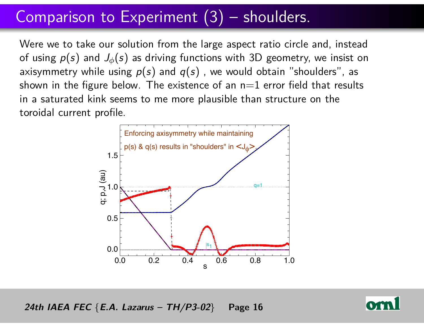### Comparison to Experiment (3) – shoulders.

Were we to take our solution from the large aspect ratio circle and, instead of using  $p(s)$  and  $J_{\phi}(s)$  as driving functions with 3D geometry, we insist on axisymmetry while using  $p(s)$  and  $q(s)$ , we would obtain "shoulders", as shown in the figure below. The existence of an  $n=1$  error field that results in a saturated kink seems to me more plausible than structure on the toroidal current profile.



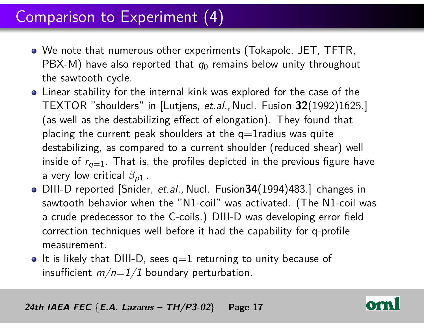### Comparison to Experiment (4)

- We note that numerous other experiments (Tokapole, JET, TFTR, PBX-M) have also reported that  $q_0$  remains below unity throughout the sawtooth cycle.
- Linear stability for the internal kink was explored for the case of the TEXTOR "shoulders" in [Lutjens, et.al., Nucl. Fusion **32**(1992)1625.] (as well as the destabilizing effect of elongation). They found that placing the current peak shoulders at the  $q=1$ radius was quite destabilizing, as compared to a current shoulder (reduced shear) well inside of  $r_{q=1}$ . That is, the profiles depicted in the previous figure have a very low critical  $\beta_{p1}$ .
- DIII-D reported [Snider, et.al., Nucl. Fusion**34**(1994)483.] changes in sawtooth behavior when the "N1-coil" was activated. (The N1-coil was a crude predecessor to the C-coils.) DIII-D was developing error field correction techniques well before it had the capability for q-profile measurement.
- It is likely that DIII-D, sees  $q=1$  returning to unity because of insufficient  $m/n=1/1$  boundary perturbation.

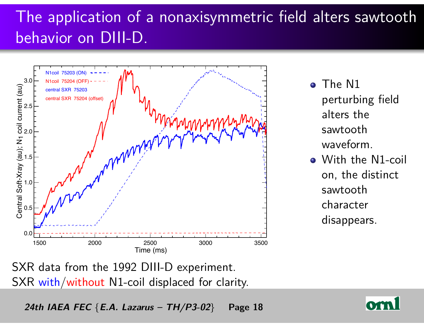# The application of a nonaxisymmetric field alters sawtooth behavior on DIII-D.



- o The N1 perturbing field alters the sawtooth waveform.
- With the N1-coil on, the distinct sawtooth character disappears.

SXR data from the 1992 DIII-D experiment. SXR with/without N1-coil displaced for clarity.

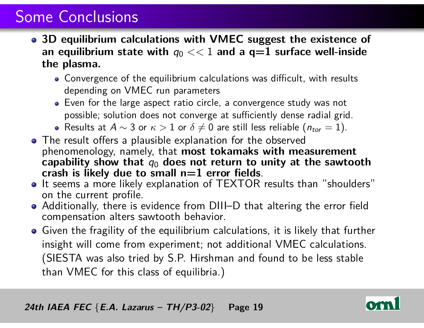### Some Conclusions

- **3D equilibrium calculations with VMEC suggest the existence of** an equilibrium state with  $q_0 \ll 1$  and a  $q=1$  surface well-inside **the plasma.**
	- Convergence of the equilibrium calculations was difficult, with results depending on VMEC run parameters
	- Even for the large aspect ratio circle, a convergence study was not possible; solution does not converge at sufficiently dense radial grid.
	- Results at  $A \sim 3$  or  $\kappa > 1$  or  $\delta \neq 0$  are still less reliable ( $n_{tor} = 1$ ).
- The result offers a plausible explanation for the observed phenomenology, namely, that **most tokamaks with measurement** capability show that  $q_0$  does not return to unity at the sawtooth **crash is likely due to small n=1 error fields**.
- It seems a more likely explanation of TEXTOR results than "shoulders" on the current profile.
- Additionally, there is evidence from DIII–D that altering the error field compensation alters sawtooth behavior.
- Given the fragility of the equilibrium calculations, it is likely that further insight will come from experiment; not additional VMEC calculations. (SIESTA was also tried by S.P. Hirshman and found to be less stable than VMEC for this class of equilibria.)

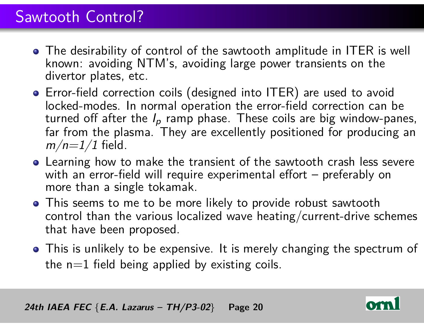### Sawtooth Control?

- The desirability of control of the sawtooth amplitude in ITER is well known: avoiding NTM's, avoiding large power transients on the divertor plates, etc.
- Error-field correction coils (designed into ITER) are used to avoid locked-modes. In normal operation the error-field correction can be turned off after the  $I_p$  ramp phase. These coils are big window-panes, far from the plasma. They are excellently positioned for producing an  $m/n=1/1$  field.
- **•** Learning how to make the transient of the sawtooth crash less severe with an error-field will require experimental effort – preferably on more than a single tokamak.
- **•** This seems to me to be more likely to provide robust sawtooth control than the various localized wave heating/current-drive schemes that have been proposed.
- This is unlikely to be expensive. It is merely changing the spectrum of the  $n=1$  field being applied by existing coils.

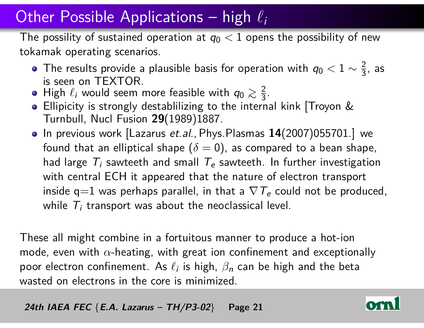### Other Possible Applications – high  $\ell_i$

The possility of sustained operation at  $q_0 < 1$  opens the possibility of new tokamak operating scenarios.

- The results provide a plausible basis for operation with  $q_0 < 1 \sim \frac{2}{3}$  $\frac{2}{3}$ , as is seen on TEXTOR.
- High  $\ell_i$  would seem more feasible with  $q_0 \gtrsim \frac{2}{3}$  $rac{2}{3}$ .
- **Ellipicity is strongly destablilizing to the internal kink [Troyon &** Turnbull, Nucl Fusion **29**(1989)1887.
- In previous work [Lazarus et.al., Phys. Plasmas 14(2007)055701.] we found that an elliptical shape  $(\delta = 0)$ , as compared to a bean shape, had large  $\mathcal{T}_i$  sawteeth and small  $\mathcal{T}_e$  sawteeth. In further investigation with central ECH it appeared that the nature of electron transport inside q $=$ 1 was perhaps parallel, in that a  $\nabla$   $T_e$  could not be produced, while  $\mathcal{T}_i$  transport was about the neoclassical level.

These all might combine in a fortuitous manner to produce a hot-ion mode, even with *α*-heating, with great ion confinement and exceptionally poor electron confinement. As  $\ell_i$  is high,  $\beta_n$  can be high and the beta wasted on electrons in the core is minimized.